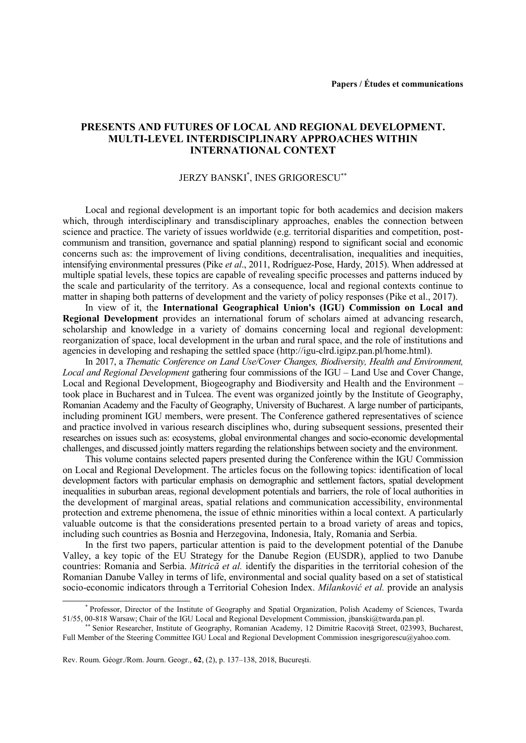## **PRESENTS AND FUTURES OF LOCAL AND REGIONAL DEVELOPMENT. MULTI-LEVEL INTERDISCIPLINARY APPROACHES WITHIN INTERNATIONAL CONTEXT**

## JERZY BANSKI\* , INES GRIGORESCU

Local and regional development is an important topic for both academics and decision makers which, through interdisciplinary and transdisciplinary approaches, enables the connection between science and practice. The variety of issues worldwide (e.g. territorial disparities and competition, postcommunism and transition, governance and spatial planning) respond to significant social and economic concerns such as: the improvement of living conditions, decentralisation, inequalities and inequities, intensifying environmental pressures (Pike *et al*., 2011, Rodríguez-Pose, Hardy, 2015). When addressed at multiple spatial levels, these topics are capable of revealing specific processes and patterns induced by the scale and particularity of the territory. As a consequence, local and regional contexts continue to matter in shaping both patterns of development and the variety of policy responses (Pike et al., 2017).

In view of it, the **International Geographical Union's (IGU) Commission on Local and Regional Development** provides an international forum of scholars aimed at advancing research, scholarship and knowledge in a variety of domains concerning local and regional development: reorganization of space, local development in the urban and rural space, and the role of institutions and agencies in developing and reshaping the settled space [\(http://igu-clrd.igipz.pan.pl/home.html\)](http://igu-clrd.igipz.pan.pl/home.html).

In 2017, a *Thematic Conference on Land Use/Cover Changes, Biodiversity, Health and Environment, Local and Regional Development* gathering four commissions of the IGU – Land Use and Cover Change, Local and Regional Development, Biogeography and Biodiversity and Health and the Environment – took place in Bucharest and in Tulcea. The event was organized jointly by the Institute of Geography, Romanian Academy and the Faculty of Geography, University of Bucharest. A large number of participants, including prominent IGU members, were present. The Conference gathered representatives of science and practice involved in various research disciplines who, during subsequent sessions, presented their researches on issues such as: ecosystems, global environmental changes and socio-economic developmental challenges, and discussed jointly matters regarding the relationships between society and the environment.

This volume contains selected papers presented during the Conference within the IGU Commission on Local and Regional Development. The articles focus on the following topics: identification of local development factors with particular emphasis on demographic and settlement factors, spatial development inequalities in suburban areas, regional development potentials and barriers, the role of local authorities in the development of marginal areas, spatial relations and communication accessibility, environmental protection and extreme phenomena, the issue of ethnic minorities within a local context. A particularly valuable outcome is that the considerations presented pertain to a broad variety of areas and topics, including such countries as Bosnia and Herzegovina, Indonesia, Italy, Romania and Serbia.

In the first two papers, particular attention is paid to the development potential of the Danube Valley, a key topic of the EU Strategy for the Danube Region (EUSDR), applied to two Danube countries: Romania and Serbia. *Mitrică et al.* identify the disparities in the territorial cohesion of the Romanian Danube Valley in terms of life, environmental and social quality based on a set of statistical socio-economic indicators through a Territorial Cohesion Index. *Milanković et al.* provide an analysis

 $\overline{a}$ 

<sup>\*</sup> Professor, Director of the Institute of Geography and Spatial Organization, Polish Academy of Sciences, Twarda 51/55, 00-818 Warsaw; Chair of the IGU Local and Regional Development Commission, [jbanski@twarda.pan.pl.](mailto:jbanski@twarda.pan.pl)

Senior Researcher, Institute of Geography, Romanian Academy, 12 Dimitrie Racoviţă Street, 023993, Bucharest, Full Member of the Steering Committee IGU Local and Regional Development Commission [inesgrigorescu@yahoo.com.](mailto:inesgrigorescu@yahoo.com)

Rev. Roum. Géogr./Rom. Journ. Geogr., **62**, (2), p. 137–138, 2018, Bucureşti.